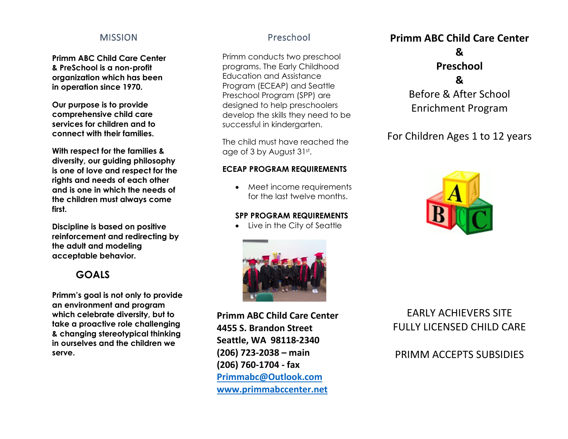#### **MISSION**

**Primm ABC Child Care Center & PreSchool is a non-profit organization which has been in operation since 1970.**

**Our purpose is to provide comprehensive child care services for children and to connect with their families.**

**With respect for the families & diversity, our guiding philosophy is one of love and respect for the rights and needs of each other and is one in which the needs of the children must always come first.**

**Discipline is based on positive reinforcement and redirecting by the adult and modeling acceptable behavior.**

# **GOALS**

**Primm's goal is not only to provide an environment and program which celebrate diversity, but to take a proactive role challenging & changing stereotypical thinking in ourselves and the children we serve.**

#### Preschool

Primm conducts two preschool programs. The Early Childhood Education and Assistance Program (ECEAP) and Seattle Preschool Program (SPP) are designed to help preschoolers develop the skills they need to be successful in kindergarten.

The child must have reached the age of 3 by August 31st.

#### **ECEAP PROGRAM REQUIREMENTS**

• Meet income requirements for the last twelve months.

#### **SPP PROGRAM REQUIREMENTS**

• Live in the City of Seattle



**Primm ABC Child Care Center 4455 S. Brandon Street Seattle, WA 98118-2340 (206) 723-2038 – main (206) 760-1704 - fax [Primmabc@Outlook.com](mailto:Primmabc@Outlook.com) [www.primmabccenter.net](http://www.primmabccenter.net/)**

# **Primm ABC Child Care Center & Preschool &**  Before & After School Enrichment Program

For Children Ages 1 to 12 years



EARLY ACHIEVERS SITE FULLY LICENSED CHILD CARE

PRIMM ACCEPTS SUBSIDIES